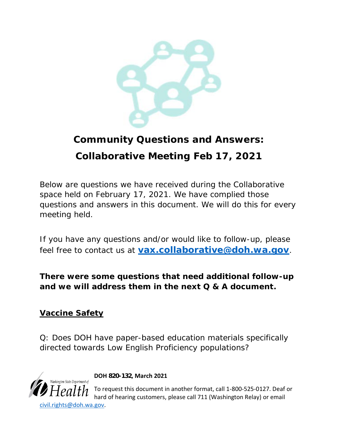

# **Community Questions and Answers: Collaborative Meeting Feb 17, 2021**

Below are questions we have received during the Collaborative space held on February 17, 2021. We have complied those questions and answers in this document. We will do this for every meeting held.

If you have any questions and/or would like to follow-up, please feel free to contact us at **[vax.collaborative@doh.wa.gov](mailto:vax.collaborative@doh.wa.gov)***.*

**There were some questions that need additional follow-up and we will address them in the next Q & A document.**

## **Vaccine Safety**

Q: Does DOH have paper-based education materials specifically directed towards Low English Proficiency populations?



**DOH 820-132, March 2021**

To request this document in another format, call 1-800-525-0127. Deaf or hard of hearing customers, please call 711 (Washington Relay) or email [civil.rights@doh.wa.gov.](mailto:civil.rights@doh.wa.gov)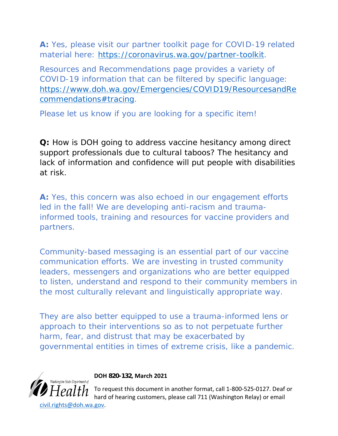**A:** Yes, please visit our partner toolkit page for COVID-19 related material here: [https://coronavirus.wa.gov/partner-toolkit.](https://coronavirus.wa.gov/partner-toolkit)

Resources and Recommendations page provides a variety of COVID-19 information that can be filtered by specific language: [https://www.doh.wa.gov/Emergencies/COVID19/ResourcesandRe](https://www.doh.wa.gov/Emergencies/COVID19/ResourcesandRecommendations#tracing) [commendations#tracing.](https://www.doh.wa.gov/Emergencies/COVID19/ResourcesandRecommendations#tracing)

Please let us know if you are looking for a specific item!

**Q:** How is DOH going to address vaccine hesitancy among direct support professionals due to cultural taboos? The hesitancy and lack of information and confidence will put people with disabilities at risk.

**A:** Yes, this concern was also echoed in our engagement efforts led in the fall! We are developing anti-racism and traumainformed tools, training and resources for vaccine providers and partners.

Community-based messaging is an essential part of our vaccine communication efforts. We are investing in trusted community leaders, messengers and organizations who are better equipped to listen, understand and respond to their community members in the most culturally relevant and linguistically appropriate way.

They are also better equipped to use a trauma-informed lens or approach to their interventions so as to not perpetuate further harm, fear, and distrust that may be exacerbated by governmental entities in times of extreme crisis, like a pandemic.



**DOH 820-132, March 2021**

To request this document in another format, call 1-800-525-0127. Deaf or hard of hearing customers, please call 711 (Washington Relay) or email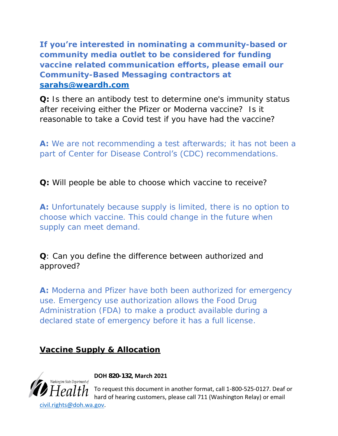**If you're interested in nominating a community-based or community media outlet to be considered for funding vaccine related communication efforts, please email our Community-Based Messaging contractors at [sarahs@weardh.com](mailto:sarahs@weardh.com)**

**Q:** Is there an antibody test to determine one's immunity status after receiving either the Pfizer or Moderna vaccine? Is it reasonable to take a Covid test if you have had the vaccine?

**A:** We are not recommending a test afterwards; it has not been a part of Center for Disease Control's (CDC) recommendations.

**Q:** Will people be able to choose which vaccine to receive?

**A:** Unfortunately because supply is limited, there is no option to choose which vaccine. This could change in the future when supply can meet demand.

**Q**: Can you define the difference between authorized and approved?

**A:** Moderna and Pfizer have both been authorized for emergency use. Emergency use authorization allows the Food Drug Administration (FDA) to make a product available during a declared state of emergency before it has a full license.

**Vaccine Supply & Allocation**



**DOH 820-132, March 2021**

To request this document in another format, call 1-800-525-0127. Deaf or hard of hearing customers, please call 711 (Washington Relay) or email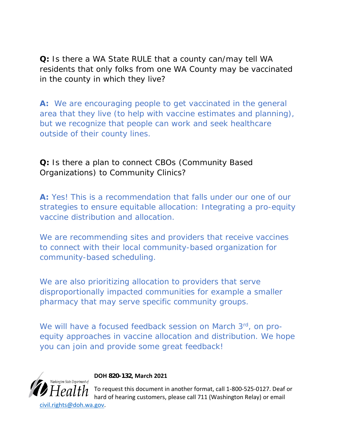**Q:** Is there a WA State RULE that a county can/may tell WA residents that only folks from one WA County may be vaccinated in the county in which they live?

**A:** We are encouraging people to get vaccinated in the general area that they live (to help with vaccine estimates and planning), but we recognize that people can work and seek healthcare outside of their county lines.

**Q:** Is there a plan to connect CBOs (Community Based Organizations) to Community Clinics?

**A:** Yes! This is a recommendation that falls under our one of our strategies to ensure equitable allocation: Integrating a pro-equity vaccine distribution and allocation.

We are recommending sites and providers that receive vaccines to connect with their local community-based organization for community-based scheduling.

We are also prioritizing allocation to providers that serve disproportionally impacted communities for example a smaller pharmacy that may serve specific community groups.

We will have a focused feedback session on March 3rd, on proequity approaches in vaccine allocation and distribution. We hope you can join and provide some great feedback!



**DOH 820-132, March 2021**

To request this document in another format, call 1-800-525-0127. Deaf or hard of hearing customers, please call 711 (Washington Relay) or email [civil.rights@doh.wa.gov.](mailto:civil.rights@doh.wa.gov)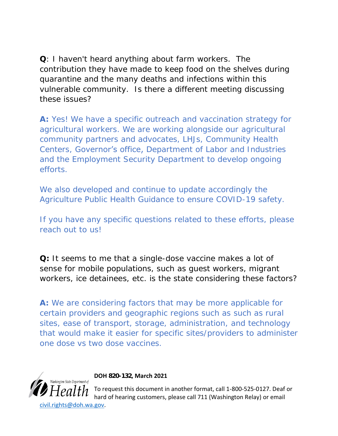**Q**: I haven't heard anything about farm workers. The contribution they have made to keep food on the shelves during quarantine and the many deaths and infections within this vulnerable community. Is there a different meeting discussing these issues?

**A:** Yes! We have a specific outreach and vaccination strategy for agricultural workers. We are working alongside our agricultural community partners and advocates, LHJs, Community Health Centers, Governor's office, Department of Labor and Industries and the Employment Security Department to develop ongoing efforts.

We also developed and continue to update accordingly the Agriculture Public Health Guidance to ensure COVID-19 safety.

If you have any specific questions related to these efforts, please reach out to us!

**Q:** It seems to me that a single-dose vaccine makes a lot of sense for mobile populations, such as guest workers, migrant workers, ice detainees, etc. is the state considering these factors?

**A:** We are considering factors that may be more applicable for certain providers and geographic regions such as such as rural sites, ease of transport, storage, administration, and technology that would make it easier for specific sites/providers to administer one dose vs two dose vaccines.



**DOH 820-132, March 2021**

To request this document in another format, call 1-800-525-0127. Deaf or hard of hearing customers, please call 711 (Washington Relay) or email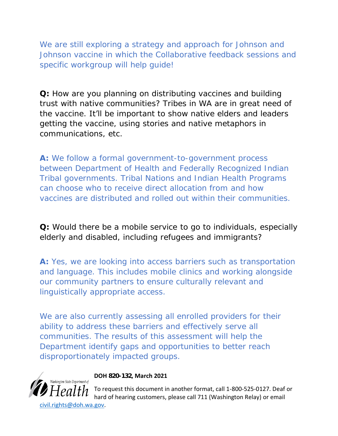We are still exploring a strategy and approach for Johnson and Johnson vaccine in which the Collaborative feedback sessions and specific workgroup will help guide!

**Q:** How are you planning on distributing vaccines and building trust with native communities? Tribes in WA are in great need of the vaccine. It'll be important to show native elders and leaders getting the vaccine, using stories and native metaphors in communications, etc.

**A:** We follow a formal government-to-government process between Department of Health and Federally Recognized Indian Tribal governments. Tribal Nations and Indian Health Programs can choose who to receive direct allocation from and how vaccines are distributed and rolled out within their communities.

**Q:** Would there be a mobile service to go to individuals, especially elderly and disabled, including refugees and immigrants?

**A:** Yes, we are looking into access barriers such as transportation and language. This includes mobile clinics and working alongside our community partners to ensure culturally relevant and linguistically appropriate access.

We are also currently assessing all enrolled providers for their ability to address these barriers and effectively serve all communities. The results of this assessment will help the Department identify gaps and opportunities to better reach disproportionately impacted groups.



#### **DOH 820-132, March 2021**

To request this document in another format, call 1-800-525-0127. Deaf or hard of hearing customers, please call 711 (Washington Relay) or email [civil.rights@doh.wa.gov.](mailto:civil.rights@doh.wa.gov)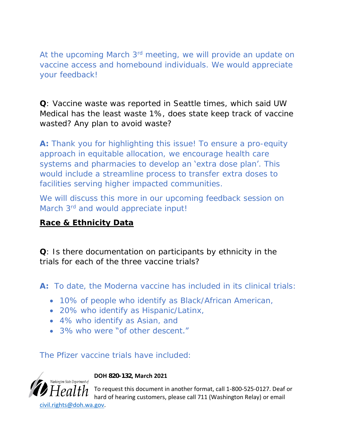At the upcoming March 3<sup>rd</sup> meeting, we will provide an update on vaccine access and homebound individuals. We would appreciate your feedback!

**Q**: Vaccine waste was reported in Seattle times, which said UW Medical has the least waste 1%, does state keep track of vaccine wasted? Any plan to avoid waste?

**A:** Thank you for highlighting this issue! To ensure a pro-equity approach in equitable allocation, we encourage health care systems and pharmacies to develop an 'extra dose plan'. This would include a streamline process to transfer extra doses to facilities serving higher impacted communities.

We will discuss this more in our upcoming feedback session on March 3<sup>rd</sup> and would appreciate input!

#### **Race & Ethnicity Data**

**Q**: Is there documentation on participants by ethnicity in the trials for each of the three vaccine trials?

**A:** To date, the Moderna vaccine has included in its clinical trials:

- 10% of people who identify as Black/African American,
- 20% who identify as Hispanic/Latinx,
- 4% who identify as Asian, and
- 3% who were "of other descent."

The Pfizer vaccine trials have included:



**DOH 820-132, March 2021**

To request this document in another format, call 1-800-525-0127. Deaf or hard of hearing customers, please call 711 (Washington Relay) or email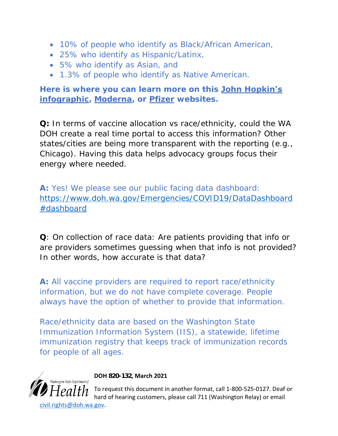- 10% of people who identify as Black/African American,
- 25% who identify as Hispanic/Latinx,
- 5% who identify as Asian, and
- 1.3% of people who identify as Native American.

**Here is where you can learn more on this [John Hopkin's](https://gcc02.safelinks.protection.outlook.com/?url=https%3A%2F%2Fwww.hopkinsmedicine.org%2Fhealth%2Fconditions-and-diseases%2Fcoronavirus%2Fcoronavirus-vaccines-infographic&data=04%7C01%7Cfathiya.abdi%40doh.wa.gov%7Cc63c94842a6b4231787f08d8c234dded%7C11d0e217264e400a8ba057dcc127d72d%7C0%7C0%7C637472879606962267%7CUnknown%7CTWFpbGZsb3d8eyJWIjoiMC4wLjAwMDAiLCJQIjoiV2luMzIiLCJBTiI6Ik1haWwiLCJXVCI6Mn0%3D%7C1000&sdata=LKZAbaRiiss7wZnE9bizaYXaTgrPN7xdvNpP0NXsApg%3D&reserved=0)  [infographic,](https://gcc02.safelinks.protection.outlook.com/?url=https%3A%2F%2Fwww.hopkinsmedicine.org%2Fhealth%2Fconditions-and-diseases%2Fcoronavirus%2Fcoronavirus-vaccines-infographic&data=04%7C01%7Cfathiya.abdi%40doh.wa.gov%7Cc63c94842a6b4231787f08d8c234dded%7C11d0e217264e400a8ba057dcc127d72d%7C0%7C0%7C637472879606962267%7CUnknown%7CTWFpbGZsb3d8eyJWIjoiMC4wLjAwMDAiLCJQIjoiV2luMzIiLCJBTiI6Ik1haWwiLCJXVCI6Mn0%3D%7C1000&sdata=LKZAbaRiiss7wZnE9bizaYXaTgrPN7xdvNpP0NXsApg%3D&reserved=0) [Moderna,](https://gcc02.safelinks.protection.outlook.com/?url=https%3A%2F%2Fwww.modernatx.com%2Fcove-study&data=04%7C01%7Cfathiya.abdi%40doh.wa.gov%7Cc63c94842a6b4231787f08d8c234dded%7C11d0e217264e400a8ba057dcc127d72d%7C0%7C0%7C637472879606972223%7CUnknown%7CTWFpbGZsb3d8eyJWIjoiMC4wLjAwMDAiLCJQIjoiV2luMzIiLCJBTiI6Ik1haWwiLCJXVCI6Mn0%3D%7C1000&sdata=E0KL3WsBuGd6YV9weHPTviDnjk8TEaVOfGLrjQQA0pY%3D&reserved=0) or [Pfizer](https://gcc02.safelinks.protection.outlook.com/?url=https%3A%2F%2Fwww.pfizer.com%2Fscience%2Fcoronavirus%2Fvaccine&data=04%7C01%7Cfathiya.abdi%40doh.wa.gov%7Cc63c94842a6b4231787f08d8c234dded%7C11d0e217264e400a8ba057dcc127d72d%7C0%7C0%7C637472879606972223%7CUnknown%7CTWFpbGZsb3d8eyJWIjoiMC4wLjAwMDAiLCJQIjoiV2luMzIiLCJBTiI6Ik1haWwiLCJXVCI6Mn0%3D%7C1000&sdata=fM6EjZg0rIu9yFRmDU7xZopqpnrtZ1aIQx0hz0f42Ws%3D&reserved=0) websites.** 

**Q:** In terms of vaccine allocation vs race/ethnicity, could the WA DOH create a real time portal to access this information? Other states/cities are being more transparent with the reporting (e.g., Chicago). Having this data helps advocacy groups focus their energy where needed.

**A:** Yes! We please see our public facing data dashboard: [https://www.doh.wa.gov/Emergencies/COVID19/DataDashboard](https://www.doh.wa.gov/Emergencies/COVID19/DataDashboard#dashboard) [#dashboard](https://www.doh.wa.gov/Emergencies/COVID19/DataDashboard#dashboard)

**Q**: On collection of race data: Are patients providing that info or are providers sometimes guessing when that info is not provided? In other words, how accurate is that data?

**A:** All vaccine providers are required to report race/ethnicity information, but we do not have complete coverage. People always have the option of whether to provide that information.

Race/ethnicity data are based on the Washington State Immunization Information System (IIS), a statewide, lifetime immunization registry that keeps track of immunization records for people of all ages.



**DOH 820-132, March 2021**

To request this document in another format, call 1-800-525-0127. Deaf or hard of hearing customers, please call 711 (Washington Relay) or email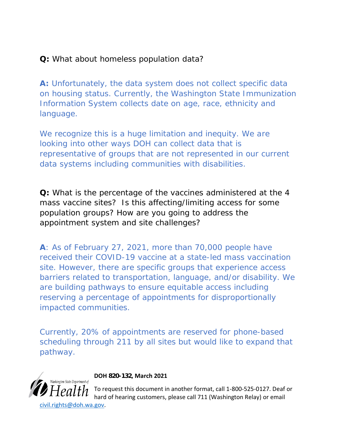**Q:** What about homeless population data?

**A:** Unfortunately, the data system does not collect specific data on housing status. Currently, the Washington State Immunization Information System collects date on age, race, ethnicity and language.

We recognize this is a huge limitation and inequity. We are looking into other ways DOH can collect data that is representative of groups that are not represented in our current data systems including communities with disabilities.

**Q:** What is the percentage of the vaccines administered at the 4 mass vaccine sites? Is this affecting/limiting access for some population groups? How are you going to address the appointment system and site challenges?

**A**: As of February 27, 2021, more than 70,000 people have received their COVID-19 vaccine at a state-led mass vaccination site. However, there are specific groups that experience access barriers related to transportation, language, and/or disability. We are building pathways to ensure equitable access including reserving a percentage of appointments for disproportionally impacted communities.

Currently, 20% of appointments are reserved for phone-based scheduling through 211 by all sites but would like to expand that pathway.



**DOH 820-132, March 2021**

To request this document in another format, call 1-800-525-0127. Deaf or hard of hearing customers, please call 711 (Washington Relay) or email